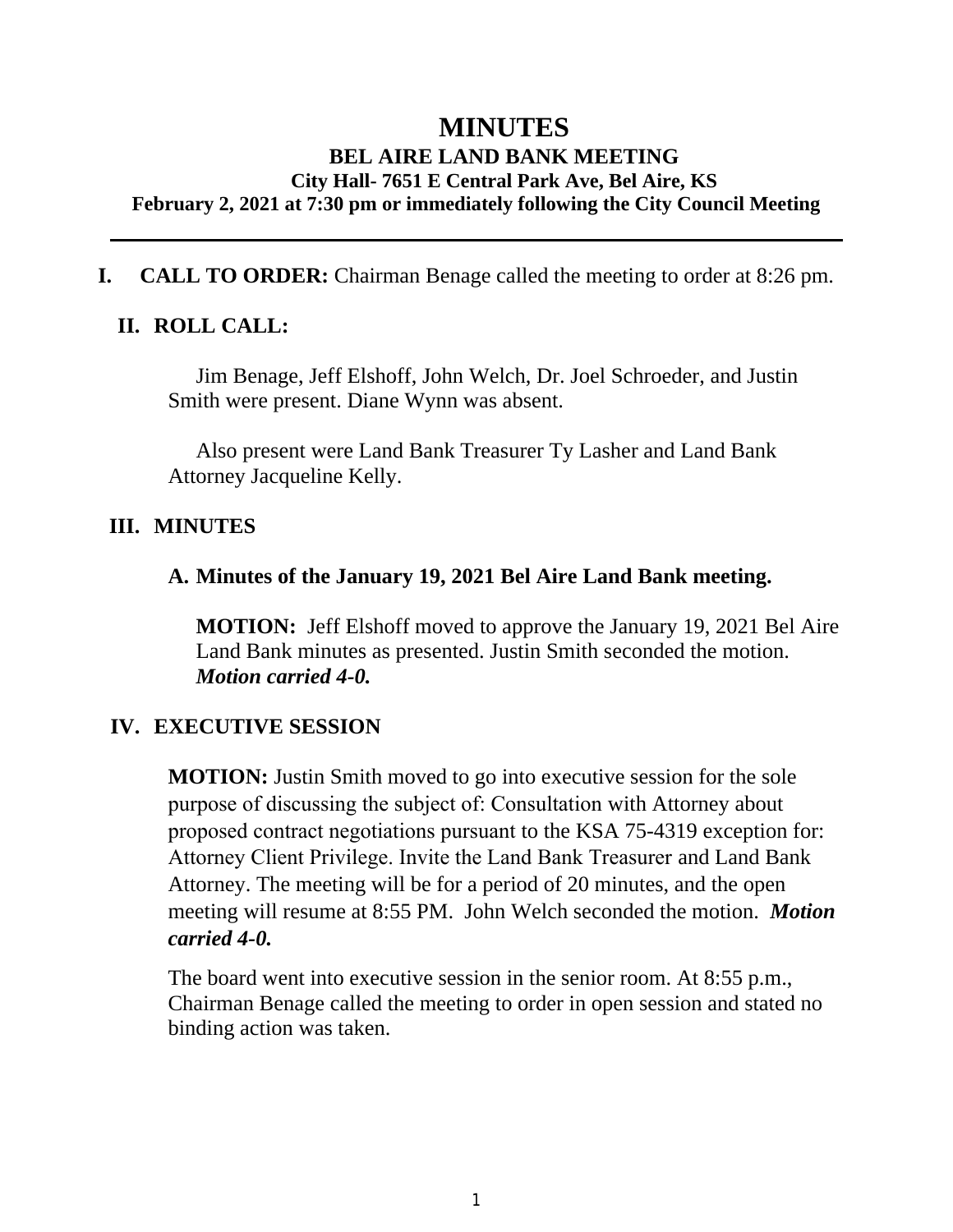# **MINUTES BEL AIRE LAND BANK MEETING City Hall- 7651 E Central Park Ave, Bel Aire, KS February 2, 2021 at 7:30 pm or immediately following the City Council Meeting**

### **I. CALL TO ORDER:** Chairman Benage called the meeting to order at 8:26 pm.

### **II. ROLL CALL:**

Jim Benage, Jeff Elshoff, John Welch, Dr. Joel Schroeder, and Justin Smith were present. Diane Wynn was absent.

Also present were Land Bank Treasurer Ty Lasher and Land Bank Attorney Jacqueline Kelly.

#### **III. MINUTES**

#### **A. Minutes of the January 19, 2021 Bel Aire Land Bank meeting.**

**MOTION:** Jeff Elshoff moved to approve the January 19, 2021 Bel Aire Land Bank minutes as presented. Justin Smith seconded the motion. *Motion carried 4-0.*

### **IV. EXECUTIVE SESSION**

**MOTION:** Justin Smith moved to go into executive session for the sole purpose of discussing the subject of: Consultation with Attorney about proposed contract negotiations pursuant to the KSA 75-4319 exception for: Attorney Client Privilege. Invite the Land Bank Treasurer and Land Bank Attorney. The meeting will be for a period of 20 minutes, and the open meeting will resume at 8:55 PM. John Welch seconded the motion. *Motion carried 4-0.*

The board went into executive session in the senior room. At 8:55 p.m., Chairman Benage called the meeting to order in open session and stated no binding action was taken.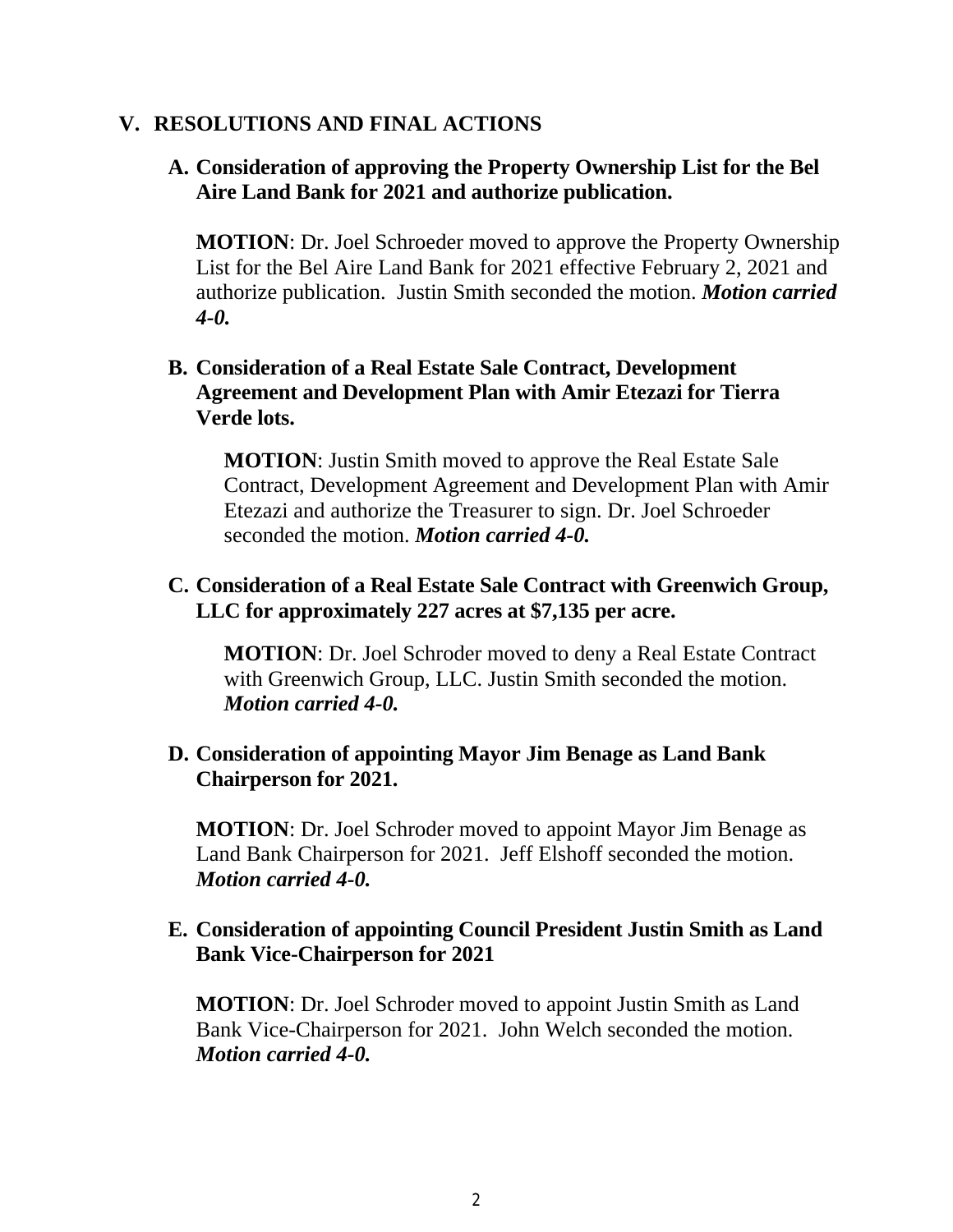### **V. RESOLUTIONS AND FINAL ACTIONS**

### **A. Consideration of approving the Property Ownership List for the Bel Aire Land Bank for 2021 and authorize publication.**

**MOTION:** Dr. Joel Schroeder moved to approve the Property Ownership List for the Bel Aire Land Bank for 2021 effective February 2, 2021 and authorize publication. Justin Smith seconded the motion. *Motion carried 4-0.*

### **B. Consideration of a Real Estate Sale Contract, Development Agreement and Development Plan with Amir Etezazi for Tierra Verde lots.**

**MOTION**: Justin Smith moved to approve the Real Estate Sale Contract, Development Agreement and Development Plan with Amir Etezazi and authorize the Treasurer to sign. Dr. Joel Schroeder seconded the motion. *Motion carried 4-0.*

## **C. Consideration of a Real Estate Sale Contract with Greenwich Group, LLC for approximately 227 acres at \$7,135 per acre.**

**MOTION**: Dr. Joel Schroder moved to deny a Real Estate Contract with Greenwich Group, LLC. Justin Smith seconded the motion. *Motion carried 4-0.*

### **D. Consideration of appointing Mayor Jim Benage as Land Bank Chairperson for 2021.**

**MOTION**: Dr. Joel Schroder moved to appoint Mayor Jim Benage as Land Bank Chairperson for 2021. Jeff Elshoff seconded the motion. *Motion carried 4-0.*

### **E. Consideration of appointing Council President Justin Smith as Land Bank Vice-Chairperson for 2021**

**MOTION**: Dr. Joel Schroder moved to appoint Justin Smith as Land Bank Vice-Chairperson for 2021. John Welch seconded the motion. *Motion carried 4-0.*